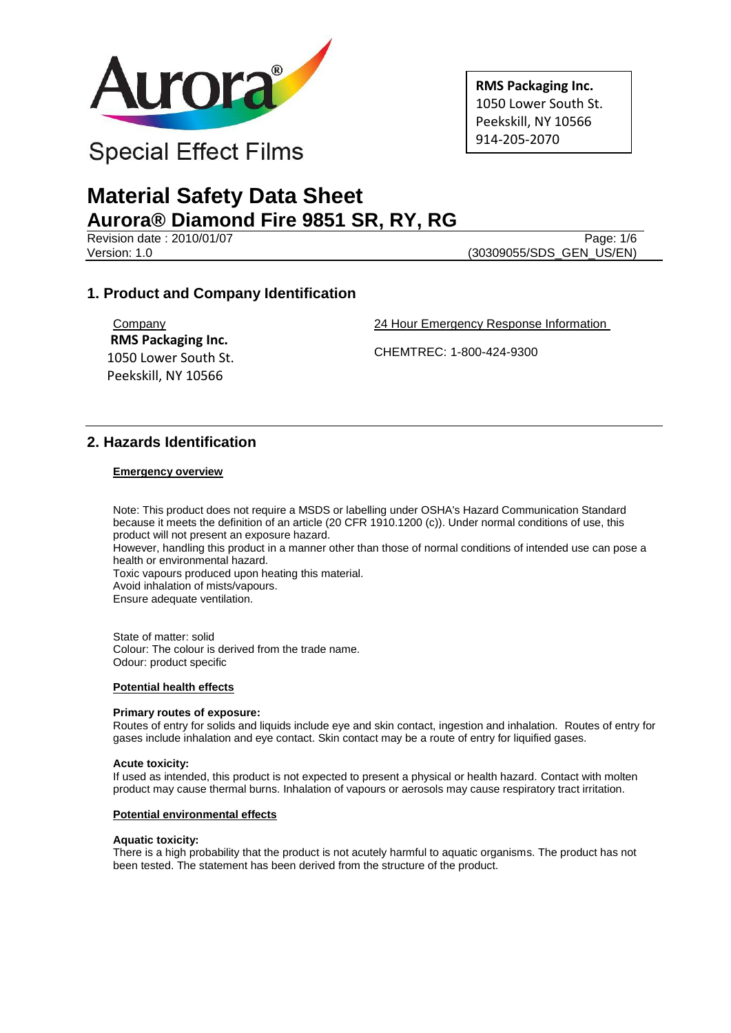

**RMS Packaging Inc.** 1050 Lower South St. Peekskill, NY 10566 914-205-2070

# **Material Safety Data Sheet Aurora® Diamond Fire 9851 SR, RY, RG**

Revision date : 2010/01/07 Page: 1/6<br>Version: 1.0 (30309055/SDS GEN US/EN)

(30309055/SDS\_GEN\_US/EN)

## **1. Product and Company Identification**

**Company RMS Packaging Inc.** 1050 Lower South St. Peekskill, NY 10566

24 Hour Emergency Response Information

CHEMTREC: 1-800-424-9300

### **2. Hazards Identification**

#### **Emergency overview**

Note: This product does not require a MSDS or labelling under OSHA's Hazard Communication Standard because it meets the definition of an article (20 CFR 1910.1200 (c)). Under normal conditions of use, this product will not present an exposure hazard. However, handling this product in a manner other than those of normal conditions of intended use can pose a health or environmental hazard. Toxic vapours produced upon heating this material. Avoid inhalation of mists/vapours. Ensure adequate ventilation.

State of matter: solid Colour: The colour is derived from the trade name. Odour: product specific

#### **Potential health effects**

#### **Primary routes of exposure:**

Routes of entry for solids and liquids include eye and skin contact, ingestion and inhalation. Routes of entry for gases include inhalation and eye contact. Skin contact may be a route of entry for liquified gases.

#### **Acute toxicity:**

If used as intended, this product is not expected to present a physical or health hazard. Contact with molten product may cause thermal burns. Inhalation of vapours or aerosols may cause respiratory tract irritation.

#### **Potential environmental effects**

#### **Aquatic toxicity:**

There is a high probability that the product is not acutely harmful to aquatic organisms. The product has not been tested. The statement has been derived from the structure of the product.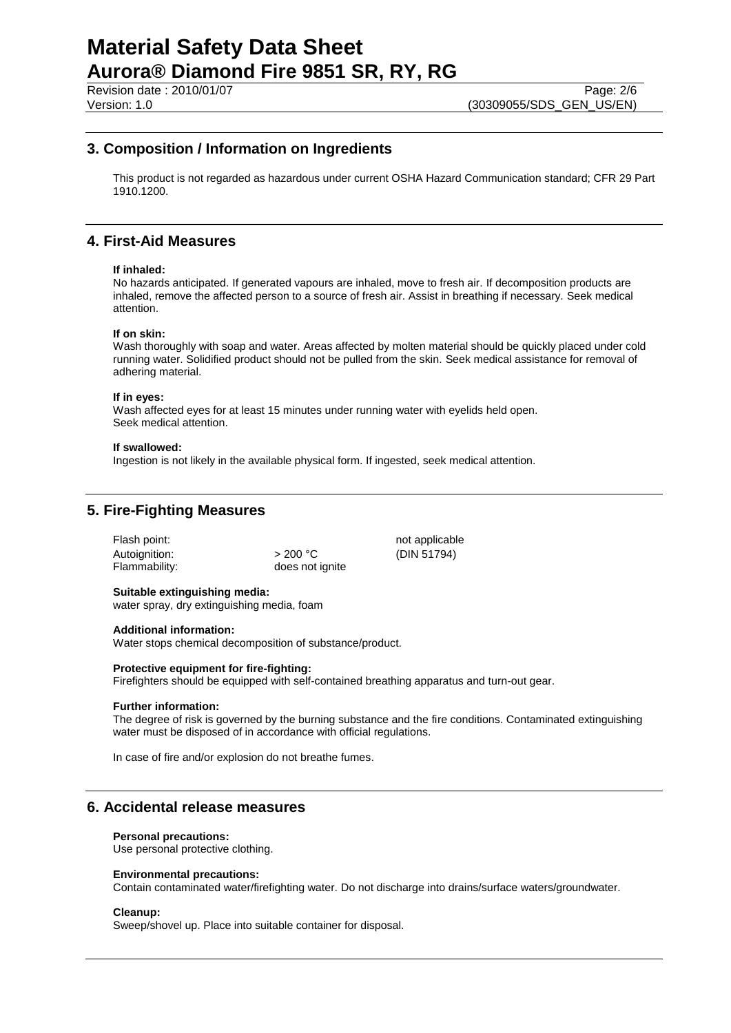Revision date : 2010/01/07 Page: 2/6<br>Version: 1.0 (30309055/SDS GEN US/EN) (30309055/SDS\_GEN\_US/EN)

### **3. Composition / Information on Ingredients**

This product is not regarded as hazardous under current OSHA Hazard Communication standard; CFR 29 Part 1910.1200.

## **4. First-Aid Measures**

#### **If inhaled:**

No hazards anticipated. If generated vapours are inhaled, move to fresh air. If decomposition products are inhaled, remove the affected person to a source of fresh air. Assist in breathing if necessary. Seek medical attention.

#### **If on skin:**

Wash thoroughly with soap and water. Areas affected by molten material should be quickly placed under cold running water. Solidified product should not be pulled from the skin. Seek medical assistance for removal of adhering material.

#### **If in eyes:**

Wash affected eyes for at least 15 minutes under running water with eyelids held open. Seek medical attention.

#### **If swallowed:**

Ingestion is not likely in the available physical form. If ingested, seek medical attention.

## **5. Fire-Fighting Measures**

| >200 °C         |
|-----------------|
| does not ignite |
|                 |

not applicable (DIN 51794)

#### **Suitable extinguishing media:**

water spray, dry extinguishing media, foam

#### **Additional information:**

Water stops chemical decomposition of substance/product.

#### **Protective equipment for fire-fighting:**

Firefighters should be equipped with self-contained breathing apparatus and turn-out gear.

#### **Further information:**

The degree of risk is governed by the burning substance and the fire conditions. Contaminated extinguishing water must be disposed of in accordance with official regulations.

In case of fire and/or explosion do not breathe fumes.

### **6. Accidental release measures**

#### **Personal precautions:**

Use personal protective clothing.

#### **Environmental precautions:**

Contain contaminated water/firefighting water. Do not discharge into drains/surface waters/groundwater.

#### **Cleanup:**

Sweep/shovel up. Place into suitable container for disposal.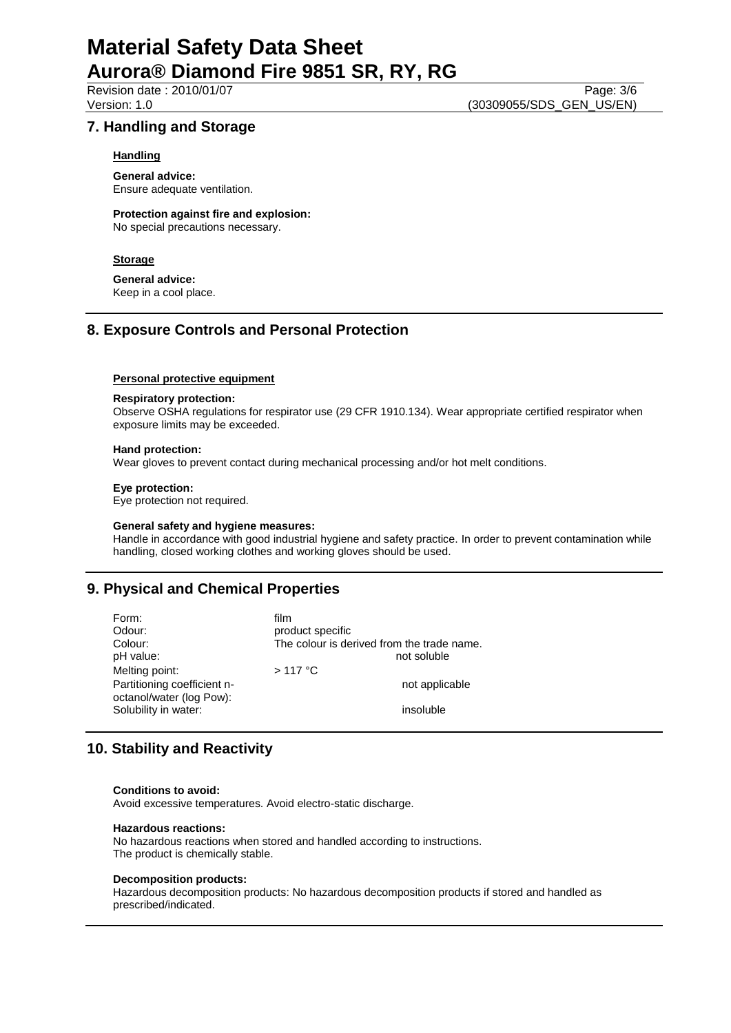Revision date : 2010/01/07 Page: 3/6<br>Version: 1.0 (30309055/SDS GEN US/EN)

(30309055/SDS\_GEN\_US/EN)

### **7. Handling and Storage**

#### **Handling**

**General advice:** Ensure adequate ventilation.

**Protection against fire and explosion:** No special precautions necessary.

#### **Storage**

**General advice:** Keep in a cool place.

## **8. Exposure Controls and Personal Protection**

#### **Personal protective equipment**

#### **Respiratory protection:**

Observe OSHA regulations for respirator use (29 CFR 1910.134). Wear appropriate certified respirator when exposure limits may be exceeded.

#### **Hand protection:**

Wear gloves to prevent contact during mechanical processing and/or hot melt conditions.

#### **Eye protection:**

Eye protection not required.

#### **General safety and hygiene measures:**

Handle in accordance with good industrial hygiene and safety practice. In order to prevent contamination while handling, closed working clothes and working gloves should be used.

## **9. Physical and Chemical Properties**

| Form:<br>Odour:<br>Colour:<br>pH value:<br>Melting point:<br>Partitioning coefficient n-<br>octanol/water (log Pow): | film<br>product specific<br>The colour is derived from the trade name.<br>not soluble<br>$>117$ °C<br>not applicable |
|----------------------------------------------------------------------------------------------------------------------|----------------------------------------------------------------------------------------------------------------------|
| Solubility in water:                                                                                                 | insoluble                                                                                                            |

## **10. Stability and Reactivity**

#### **Conditions to avoid:**

Avoid excessive temperatures. Avoid electro-static discharge.

#### **Hazardous reactions:**

No hazardous reactions when stored and handled according to instructions. The product is chemically stable.

#### **Decomposition products:**

Hazardous decomposition products: No hazardous decomposition products if stored and handled as prescribed/indicated.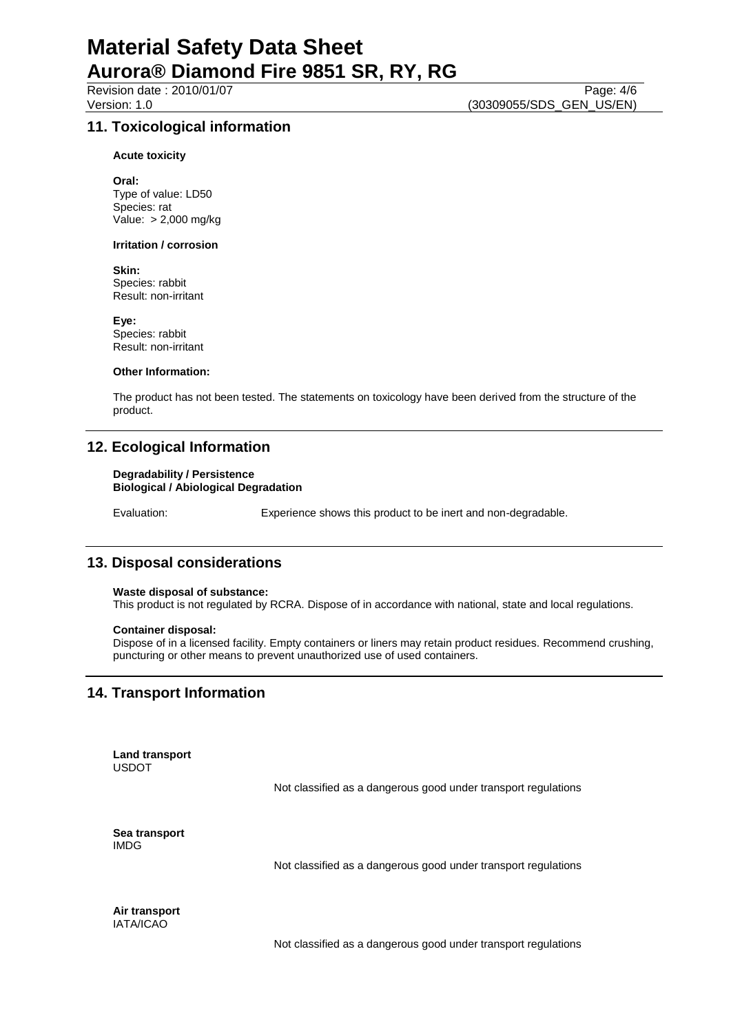Revision date : 2010/01/07 Page: 4/6<br>Version: 1.0 (30309055/SDS GEN US/EN) (30309055/SDS\_GEN\_US/EN)

## **11. Toxicological information**

#### **Acute toxicity**

**Oral:** Type of value: LD50 Species: rat Value: > 2,000 mg/kg

#### **Irritation / corrosion**

**Skin:** Species: rabbit Result: non-irritant

**Eye:** Species: rabbit Result: non-irritant

#### **Other Information:**

The product has not been tested. The statements on toxicology have been derived from the structure of the product.

## **12. Ecological Information**

#### **Degradability / Persistence Biological / Abiological Degradation**

Evaluation: Experience shows this product to be inert and non-degradable.

## **13. Disposal considerations**

#### **Waste disposal of substance:**

This product is not regulated by RCRA. Dispose of in accordance with national, state and local regulations.

#### **Container disposal:**

Dispose of in a licensed facility. Empty containers or liners may retain product residues. Recommend crushing, puncturing or other means to prevent unauthorized use of used containers.

## **14. Transport Information**

**Land transport** USDOT

Not classified as a dangerous good under transport regulations

**Sea transport** IMDG

Not classified as a dangerous good under transport regulations

**Air transport** IATA/ICAO

Not classified as a dangerous good under transport regulations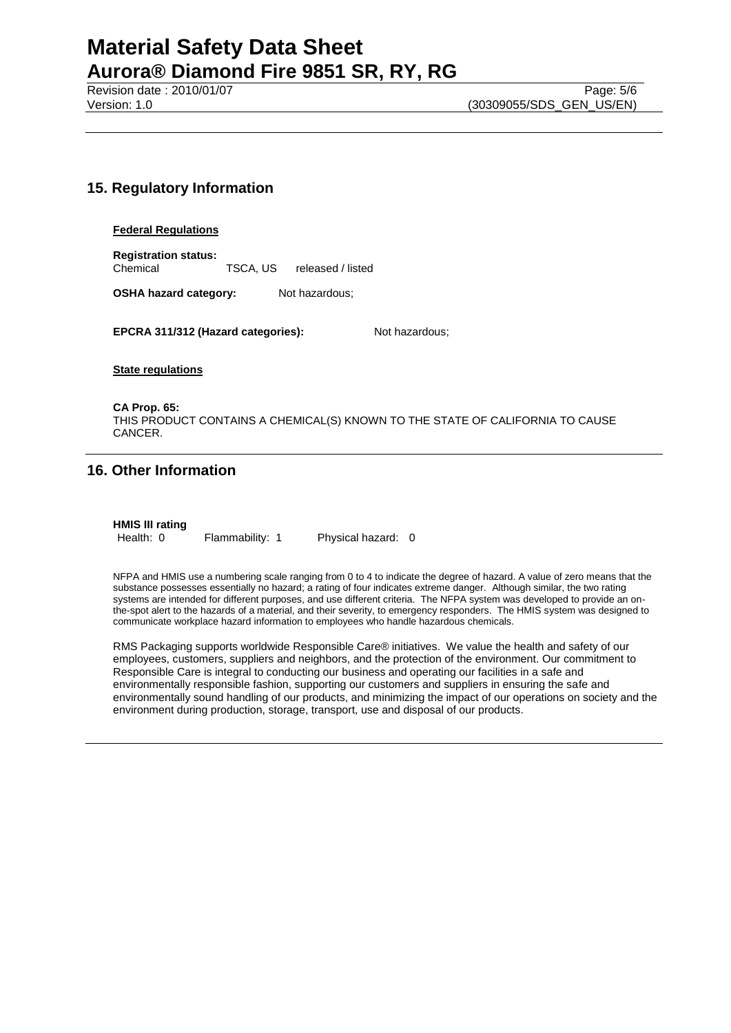Revision date : 2010/01/07 Page: 5/6<br>Version: 1.0 (30309055/SDS GEN US/EN)

(30309055/SDS\_GEN\_US/EN)

## **15. Regulatory Information**

#### **Federal Regulations**

**Registration status:** Chemical TSCA, US released / listed

**OSHA hazard category:** Not hazardous;

**EPCRA 311/312 (Hazard categories):** Not hazardous;

**State regulations**

**CA Prop. 65:** THIS PRODUCT CONTAINS A CHEMICAL(S) KNOWN TO THE STATE OF CALIFORNIA TO CAUSE CANCER.

## **16. Other Information**

**HMIS III rating**

Health: 0 Flammability: 1 Physical hazard: 0

NFPA and HMIS use a numbering scale ranging from 0 to 4 to indicate the degree of hazard. A value of zero means that the substance possesses essentially no hazard; a rating of four indicates extreme danger. Although similar, the two rating systems are intended for different purposes, and use different criteria. The NFPA system was developed to provide an onthe-spot alert to the hazards of a material, and their severity, to emergency responders. The HMIS system was designed to communicate workplace hazard information to employees who handle hazardous chemicals.

RMS Packaging supports worldwide Responsible Care® initiatives. We value the health and safety of our employees, customers, suppliers and neighbors, and the protection of the environment. Our commitment to Responsible Care is integral to conducting our business and operating our facilities in a safe and environmentally responsible fashion, supporting our customers and suppliers in ensuring the safe and environmentally sound handling of our products, and minimizing the impact of our operations on society and the environment during production, storage, transport, use and disposal of our products.